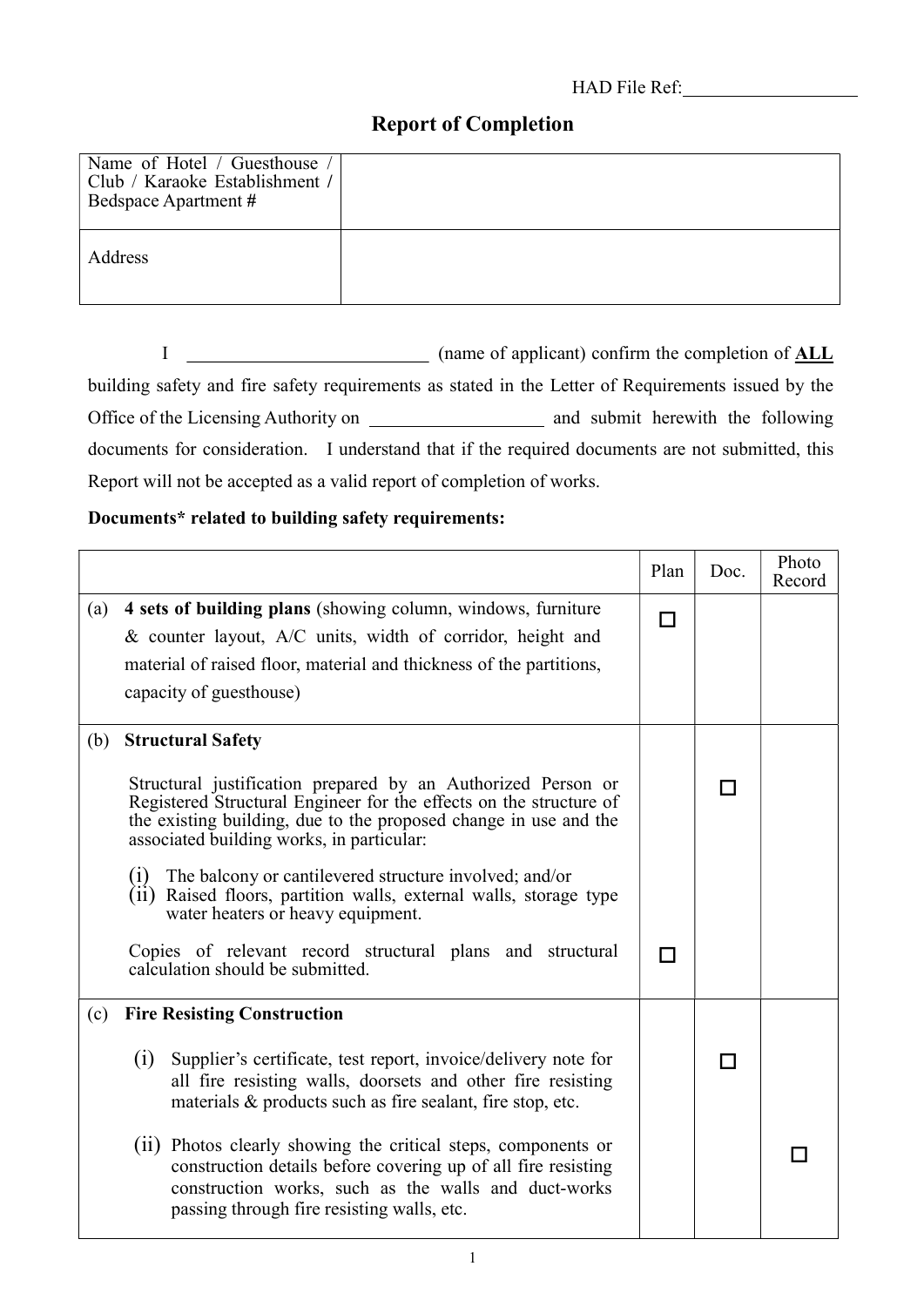## HAD File Ref:

## Report of Completion

| Name of Hotel / Guesthouse<br>Club / Karaoke Establishment /<br>Bedspace Apartment # |  |
|--------------------------------------------------------------------------------------|--|
| Address                                                                              |  |

I (name of applicant) confirm the completion of ALL building safety and fire safety requirements as stated in the Letter of Requirements issued by the Office of the Licensing Authority on and submit herewith the following documents for consideration. I understand that if the required documents are not submitted, this Report will not be accepted as a valid report of completion of works.

## Documents\* related to building safety requirements:

|     |                                                                                                                                                                                                                                                     | Plan | Doc. | Photo<br>Record |
|-----|-----------------------------------------------------------------------------------------------------------------------------------------------------------------------------------------------------------------------------------------------------|------|------|-----------------|
| (a) | 4 sets of building plans (showing column, windows, furniture<br>& counter layout, A/C units, width of corridor, height and                                                                                                                          | П    |      |                 |
|     | material of raised floor, material and thickness of the partitions,<br>capacity of guesthouse)                                                                                                                                                      |      |      |                 |
| (b) | <b>Structural Safety</b>                                                                                                                                                                                                                            |      |      |                 |
|     | Structural justification prepared by an Authorized Person or<br>Registered Structural Engineer for the effects on the structure of<br>the existing building, due to the proposed change in use and the<br>associated building works, in particular: |      |      |                 |
|     | The balcony or cantilevered structure involved; and/or<br>(1)<br>(ii) Raised floors, partition walls, external walls, storage type<br>water heaters or heavy equipment.                                                                             |      |      |                 |
|     | Copies of relevant record structural plans and structural<br>calculation should be submitted.                                                                                                                                                       |      |      |                 |
| (c) | <b>Fire Resisting Construction</b>                                                                                                                                                                                                                  |      |      |                 |
|     | (i)<br>Supplier's certificate, test report, invoice/delivery note for<br>all fire resisting walls, doorsets and other fire resisting<br>materials & products such as fire sealant, fire stop, etc.                                                  |      | П    |                 |
|     | (ii) Photos clearly showing the critical steps, components or<br>construction details before covering up of all fire resisting<br>construction works, such as the walls and duct-works<br>passing through fire resisting walls, etc.                |      |      |                 |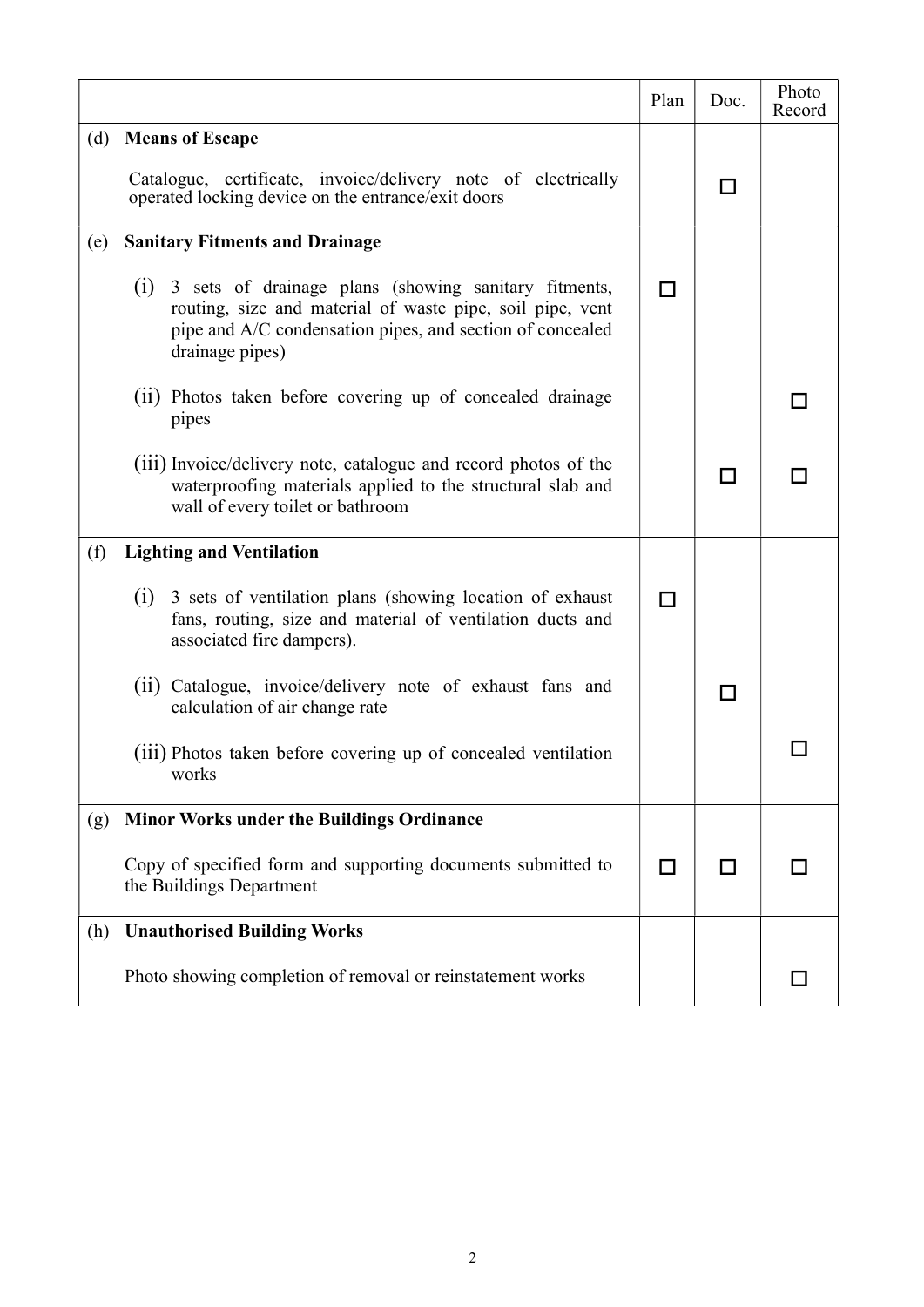|     |                                                                                                                                                                                                       | Plan | Doc. | Photo<br>Record |
|-----|-------------------------------------------------------------------------------------------------------------------------------------------------------------------------------------------------------|------|------|-----------------|
| (d) | <b>Means of Escape</b>                                                                                                                                                                                |      |      |                 |
|     | Catalogue, certificate, invoice/delivery note of electrically<br>operated locking device on the entrance/exit doors                                                                                   |      | ΙI   |                 |
| (e) | <b>Sanitary Fitments and Drainage</b>                                                                                                                                                                 |      |      |                 |
|     | (1) 3 sets of drainage plans (showing sanitary fitments,<br>routing, size and material of waste pipe, soil pipe, vent<br>pipe and A/C condensation pipes, and section of concealed<br>drainage pipes) | П    |      |                 |
|     | (ii) Photos taken before covering up of concealed drainage<br>pipes                                                                                                                                   |      |      |                 |
|     | (111) Invoice/delivery note, catalogue and record photos of the<br>waterproofing materials applied to the structural slab and<br>wall of every toilet or bathroom                                     |      | H    |                 |
| (f) | <b>Lighting and Ventilation</b>                                                                                                                                                                       |      |      |                 |
|     | (i) 3 sets of ventilation plans (showing location of exhaust<br>fans, routing, size and material of ventilation ducts and<br>associated fire dampers).                                                |      |      |                 |
|     | (ii) Catalogue, invoice/delivery note of exhaust fans and<br>calculation of air change rate                                                                                                           |      |      |                 |
|     | (iii) Photos taken before covering up of concealed ventilation<br>works                                                                                                                               |      |      |                 |
| (g) | <b>Minor Works under the Buildings Ordinance</b>                                                                                                                                                      |      |      |                 |
|     | Copy of specified form and supporting documents submitted to<br>the Buildings Department                                                                                                              | П    | l 1  |                 |
| (h) | <b>Unauthorised Building Works</b>                                                                                                                                                                    |      |      |                 |
|     | Photo showing completion of removal or reinstatement works                                                                                                                                            |      |      |                 |